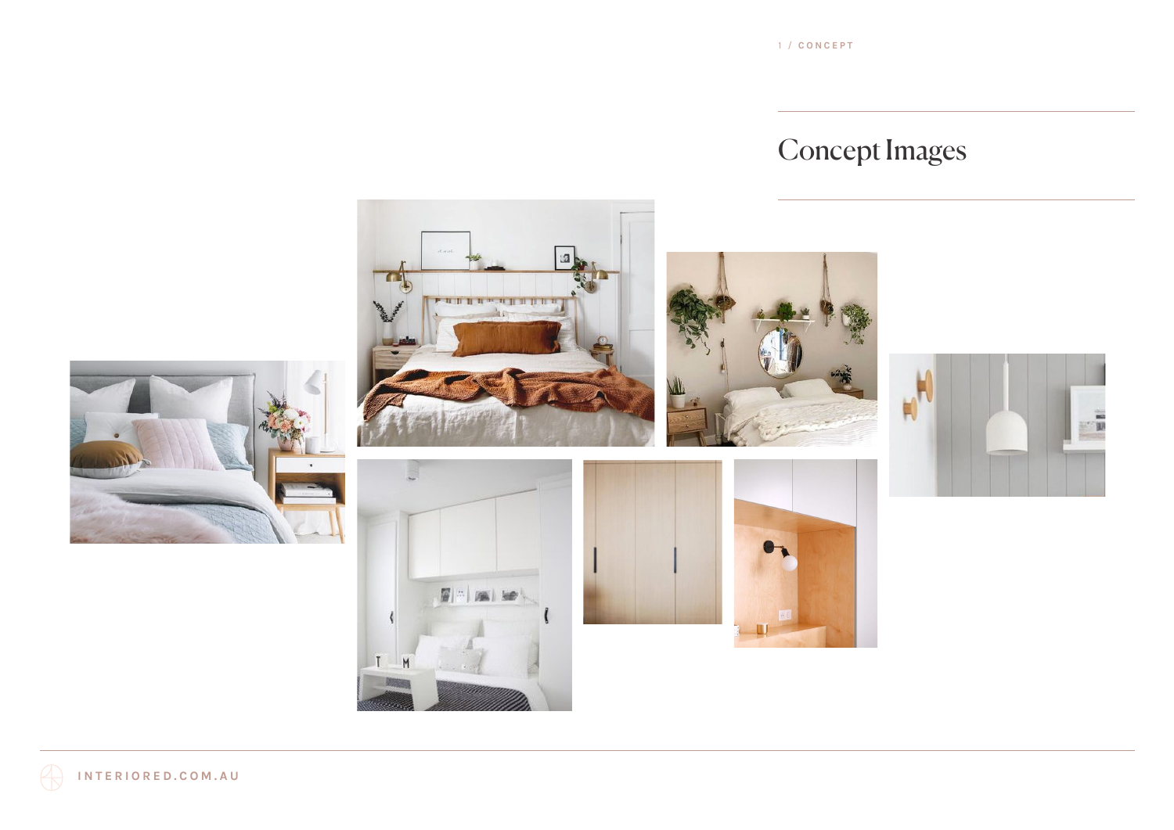1 / **CONCEPT**

# Concept Images

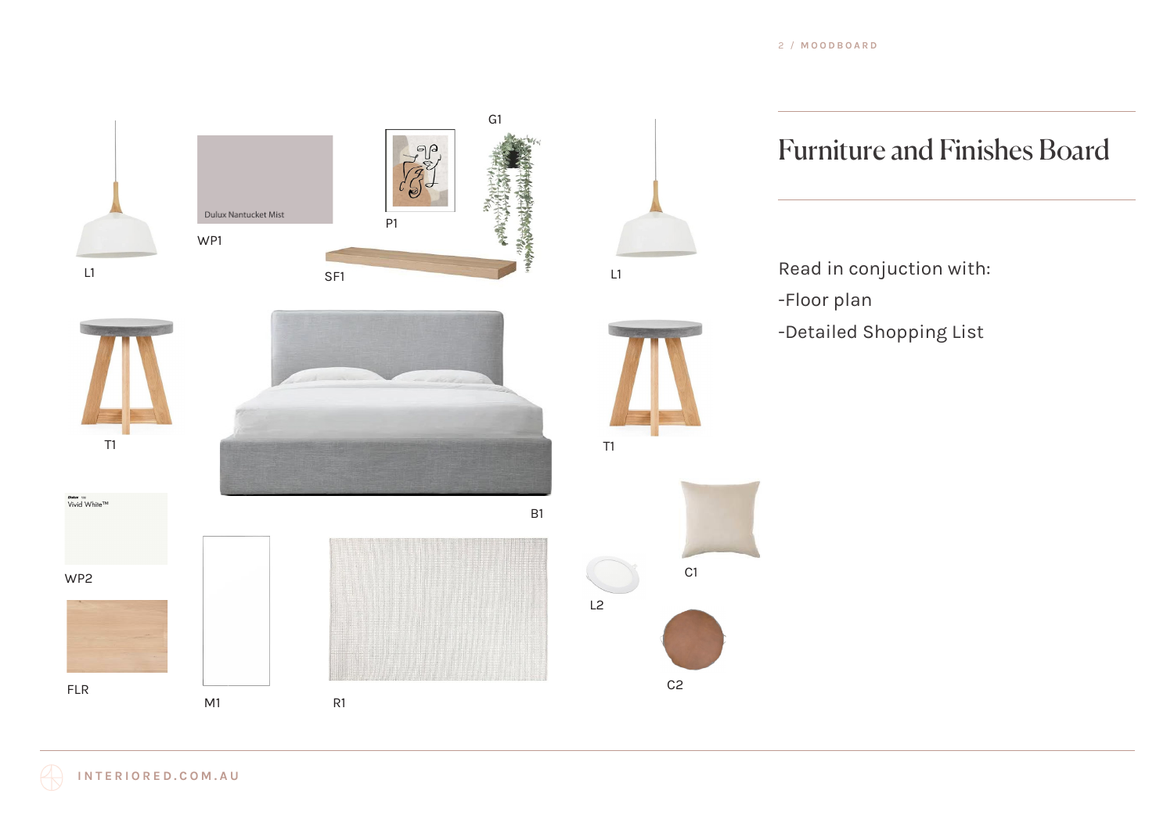

## Furniture and Finishes Board

Read in conjuction with: -Floor plan -Detailed Shopping List

**INTERIORED.COM.AU**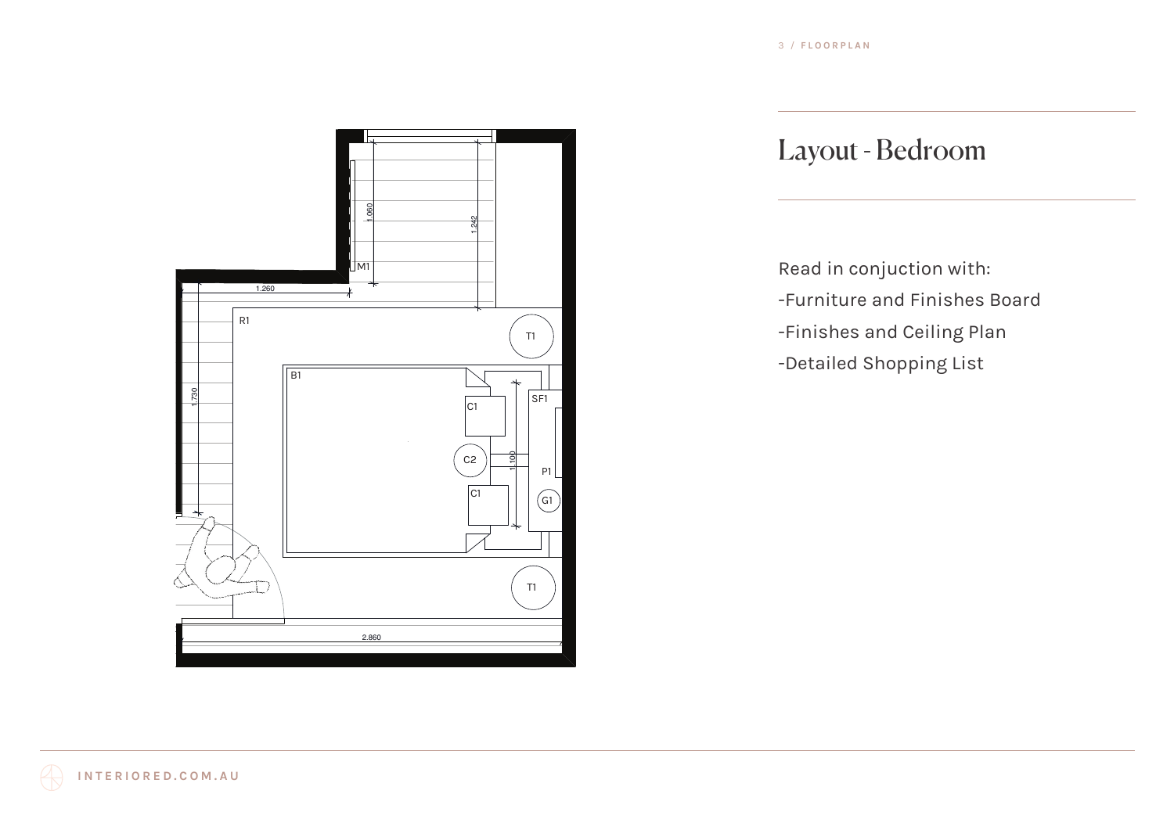

### Layout - Bedroom

Read in conjuction with: -Furniture and Finishes Board -Finishes and Ceiling Plan -Detailed Shopping List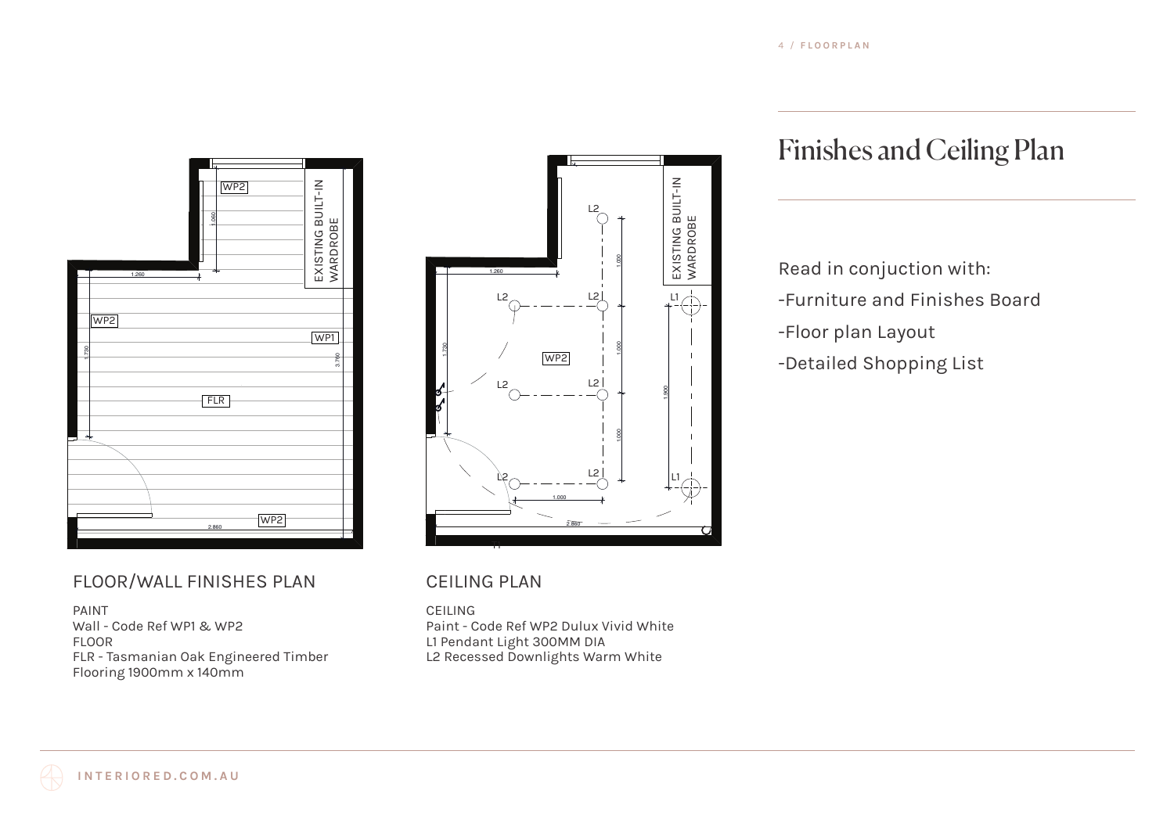

### FLOOR/WALL FINISHES PLAN

PAINT Wall - Code Ref WP1 & WP2 FLOOR FLR - Tasmanian Oak Engineered Timber Flooring 1900mm x 140mm



#### CEILING PLAN

CEILING Paint - Code Ref WP2 Dulux Vivid White L1 Pendant Light 300MM DIA L2 Recessed Downlights Warm White

## Finishes and Ceiling Plan

Read in conjuction with: -Furniture and Finishes Board -Floor plan Layout -Detailed Shopping List